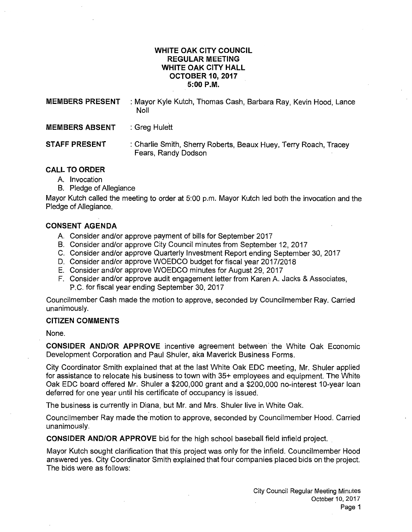## **WHITE OAK CITY COUNCIL REGULAR MEETING WHITE OAK CITY HALL OCTOBER 10, 2017 5:00P.M.**

| <b>MEMBERS PRESENT</b> | : Mayor Kyle Kutch, Thomas Cash, Barbara Ray, Kevin Hood, Lance<br>Noll                 |
|------------------------|-----------------------------------------------------------------------------------------|
| <b>MEMBERS ABSENT</b>  | : Greg Hulett                                                                           |
| <b>STAFF PRESENT</b>   | : Charlie Smith, Sherry Roberts, Beaux Huey, Terry Roach, Tracey<br>Fears, Randy Dodson |

# **CALL TO ORDER**

- A. Invocation
- B. Pledge of Allegiance

Mayor Kutch called the meeting to order at 5:00 p.m. Mayor Kutch led both the invocation and the Pledge of Allegiance.

## **CONSENT AGENDA**

- A. Consider and/or approve payment of bills for September 2017
- B. Consider and/or approve City Council minutes from September 12, 2017
- C. Consider and/or approve Quarterly Investment Report ending September 30, 2017
- D. Consider and/or approve WOEDCO budget for fiscal year 2017/2018
- E. Consider and/or approve WOEDCO minutes for August 29, 2017
- F. Consider and/or approve audit engagement letter from Karen A. Jacks & Associates, P.C. for fiscal year ending September 30, 2017

Councilmember Cash made the motion to approve, seconded by Councilmember Ray. Carried unanimously.

#### **CITIZEN COMMENTS**

None.

**CONSIDER AND/OR APPROVE** incentive agreement between· the White Oak Economic Development Corporation and Paul Shuler, aka Maverick Business Forms.

City Coordinator Smith explained that at the last White Oak EDC meeting, Mr. Shuler applied for assistance to relocate his business to town with 35+ employees and equipment. The White Oak EDC board offered Mr. Shuler a \$200,000 grant and a \$200,000 no-interest 10-year loan deferred for one year until his certificate of occupancy is issued.

The business is currently in Diana, but Mr. and Mrs. Shuler live in White Oak.

Councilmember Ray made the motion to approve, seconded by Councilmember Hood. Carried unanimously.

**CONSIDER AND/OR APPROVE** bid for the high school baseball field infield project. .

Mayor Kutch sought clarification that this project was only for the infield. Councilmember Hood answered yes. City Coordinator Smith explained that four companies placed bids on the project. The bids were as follows: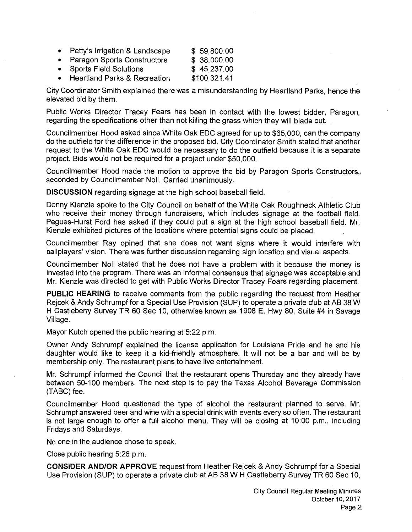| • Petty's Irrigation & Landscape | \$59,800.00  |
|----------------------------------|--------------|
| • Paragon Sports Constructors    | \$38,000.00  |
| • Sports Field Solutions         | \$45,237.00  |
| • Heartland Parks & Recreation   | \$100,321.41 |

City Coordinator Smith explained there was a misunderstanding by Heartland Parks, hence the elevated bid by them.

Public Works Director Tracey Fears has been in contact with the lowest bidder, Paragon, regarding the specifications other than not killing the grass which they will blade out.

Councilmember Hood asked since White Oak EDC agreed for up to \$65,000, can the company do the outfield for the difference in the proposed bid. City Coordinator Smith stated that another request to the White Oak EDC would be necessary to do the outfield because it is a separate project. Bids would not be required for a project under \$50,000.

Councilmember Hood made the motion to approve the bid by Paragon Sports Constructors,, seconded by Councilmember Noll. Carried unanimously.

**DISCUSSION** regarding signage at the high school baseball field.

Denny Kienzle spoke to the City Council on behalf of the White Oak Roughneck Athletic Club who receive their money through fundraisers, which includes signage at the football field. Pegues-Hurst Ford has asked if they could put a sign at the high school baseball field. Mr. Kienzle exhibited pictures of the locations where potential signs could be placed.

Councilmember Ray opined that she does not want signs where it would interfere with ballplayers' vision. There was further discussion regarding sign location and visual aspects.

Councilmember Noll stated that he does not have a problem with it because the money is invested into the program. There was an informal consensus that signage was acceptable and Mr. Kienzle was directed to get with Public Works Director Tracey Fears regarding placement.

**PUBLIC HEARING** to receive comments from the public regarding the request from Heather Rejcek & Andy Schrumpf for a Special Use Provision (SUP) to operate a private club at AB 38 W H Castleberry Survey TR 60 Sec 10, otherwise known as 1908 E. Hwy 80, Suite #4 in Savage Village.

Mayor Kutch opened the public hearing at 5:22 p.m.

Owner Andy Schrumpf explained the license application for Louisiana Pride and he and his daughter would like to keep it a kid-friendly atmosphere. It will not be a bar and will be by membership only. The restaurant plans to have live entertainment.

Mr. Schrumpf informed the Council that the restaurant opens Thursday and they already have between 50-100 members. The next step is to pay the Texas Alcohol Beverage Commission (TABC) fee.

Councilmember Hood questioned the type of alcohol the restaurant planned to serve. Mr. Schrumpf answered beer and wine with a special drink with events every so often. The restaurant is not large enough to offer a full alcohol menu. They will be closing at 10:00 p.m., including Fridays and Saturdays.

No one in the audience chose to speak.

Close public hearing 5:26 p.m.

**CONSIDER AND/OR APPROVE** request from Heather Rejcek & Andy Schrumpf for a Special Use Provision (SUP) to operate a private club at AB 38 W H Castleberry Survey TR 60 Sec 10,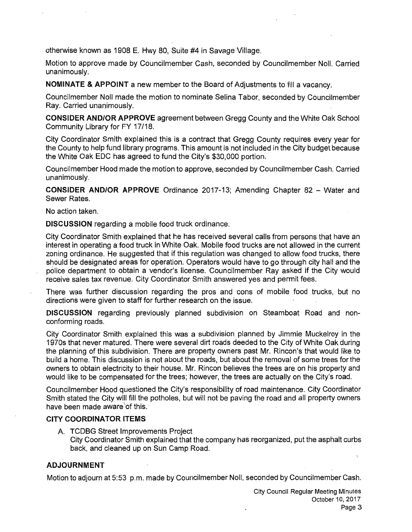otherwise known as 1908 E. Hwy 80, Suite #4 in Savage Village.

Motion to approve made by Councilmember Cash, seconded by Councilmember Noll. Carried unanimously.

**NOMINATE & APPOINT** a new member to the Board of Adjustments to fill a vacancy.

Councilmember Noll made the motion to nominate Selina Tabor, seconded by Councilmember Ray. Carried unanimously.

**CONSIDER AND/OR APPROVE** agreement between Gregg County and the White Oak School Community Library for FY 17/18.

City Coordinator Smith explained this is a contract that Gregg County requires every year for the County to help fund library programs. This amount is not included in the City budget because the White Oak EDC has agreed to fund the City's \$30,000 portion.

Council member Hood made the motion to approve, seconded by Council member Cash. Carried unanimously.

**CONSIDER AND/OR APPROVE** Ordinance 2017-13; Amending Chapter 82 - Water and Sewer Rates.

No action taken.

**DISCUSSION** regarding a mobile food truck ordinance.

City Coordinator Smith explained that he has received several calls from persons that have an interest in operating a food truck in White Oak. Mobile food trucks are not allowed in the current zoning ordinance. He suggested that if this regulation was changed to allow food trucks, there should be designated areas for operation. Operators would have to go through city hall and the police department to obtain a vendor's license. Councilmember Ray asked if the City would receive sales tax revenue. City Coordinator Smith answered yes and permit fees.

There was further discussion regarding the pros and cons of mobile food trucks, but no directions were given to staff for further research on the issue.

**DISCUSSION** regarding previously planned subdivision on Steamboat Road and nonconforming roads.

City Coordinator Smith explained this was a subdivision planned by Jimmie Muckelroy in the 1970s that never matured. There were several dirt roads deeded to the City of White Oak during the planning of thjs subdivision. There are property owners past Mr. Rincon's that would like to build a home. This discussion is not about the roads, but about the removal of some trees for the owners to obtain electricity to their house. Mr. Rincon believes the trees are on his property and would like to be compensated for the trees; however, the trees are actually on the City's road.

Councilmember Hood questioned the City's responsibility of road maintenance. City Coordinator Smith stated the City will fill the potholes, but will not be paving the road and all property owners have been made aware of this.

#### **CITY COORDINATOR ITEMS**

A. TCDBG Street Improvements Project City Coordinator Smith explained that the company has reorganized, put the asphalt curbs back, and cleaned up on Sun Camp Road.

## **ADJOURNMENT**

Motion to adjourn at 5:53 p.m. made by Councilmember Noll, seconded by Councilmember Cash.